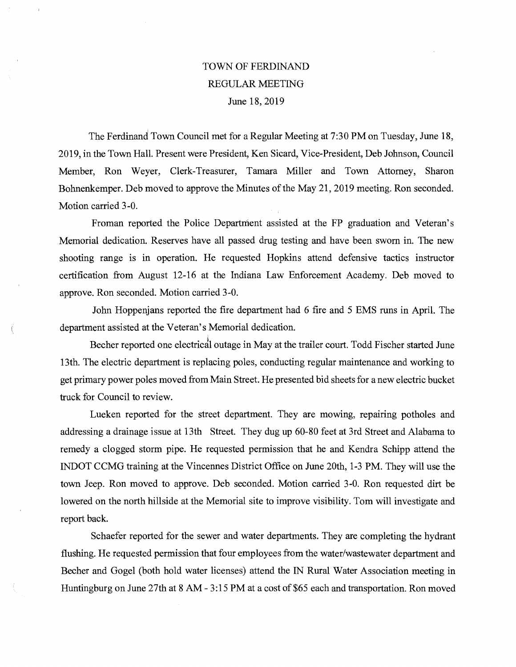## TOWN OF FERDINAND REGULAR MEETING June 18, 2019

The Ferdinand Town Council met for a Regular Meeting at 7:30 PM on Tuesday, June 18, 2019, in the Town Hall. Present were President, Ken Sicard, Vice-President, Deb Johnson, Council Member, Ron Weyer, Clerk-Treasurer, Tamara Miller and Town Attorney, Sharon Bohnenkemper. Deb moved to approve the Minutes of the May 21, 2019 meeting. Ron seconded. Motion carried 3-0.

Froman reported the Police Department assisted at the FP graduation and Veteran's Memorial dedication. Reserves have all passed drug testing and have been sworn in. The new shooting range is in operation. He requested Hopkins attend defensive tactics instructor certification from August 12-16 at the Indiana Law Enforcement Academy. Deb moved to approve. Ron seconded. Motion carried 3-0.

John Hoppenjans reported the fire department had 6 fire and 5 EMS runs in April. The department assisted at the Veteran's Memorial dedication.

Becher reported one electrical outage in May at the trailer court. Todd Fischer started June 13th. The electric department is replacing poles, conducting regular maintenance and working to get primary power poles moved from Main Street. He presented bid sheets for a new electric bucket truck for Council to review.

Lueken reported for the street department. They are mowing, repairing potholes and addressing a drainage issue at 13th Street. They dug up 60-80 feet at 3rd Street and Alabama to remedy a clogged storm pipe. He requested permission that he and Kendra Schipp attend the INDOT CCMG training at the Vincennes District Office on June 20th, 1-3 PM. They will use the town Jeep. Ron moved to approve. Deb seconded. Motion carried 3-0. Ron requested dirt be lowered on the north hillside at the Memorial site to improve visibility. Tom will investigate and report back.

Schaefer reported for the sewer and water departments. They are completing the hydrant flushing. He requested permission that four employees from the water/wastewater department and Becher and Gogel (both hold water licenses) attend the IN Rural Water Association meeting in Huntingburg on June 27th at 8 AM - 3:15 PM at a cost of \$65 each and transportation. Ron moved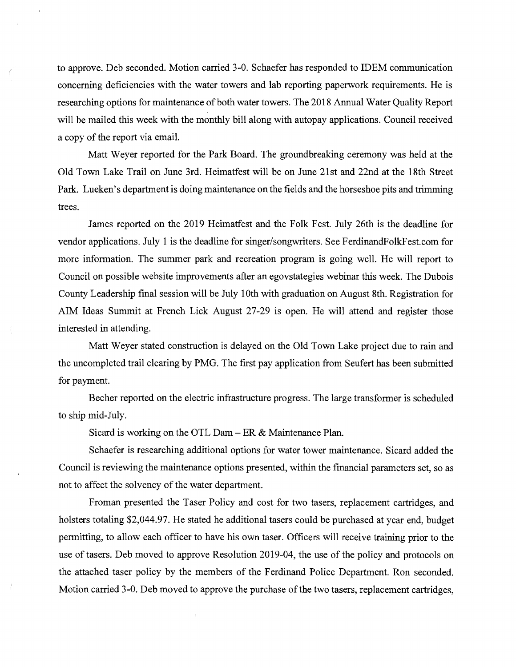to approve. Deb seconded. Motion carried 3-0. Schaefer has responded to IDEM communication concerning deficiencies with the water towers and lab reporting paperwork requirements. He is researching options for maintenance of both water towers. The 2018 Annual Water Quality Report will be mailed this week with the monthly bill along with autopay applications. Council received a copy of the report via email.

Matt Weyer reported for the Park Board. The groundbreaking ceremony was held at the Old Town Lake Trail on June 3rd. Heimatfest will be on June 21st and 22nd at the 18th Street Park. Lueken's department is doing maintenance on the fields and the horseshoe pits and trimming trees.

James reported on the 2019 Heimatfest and the Folk Fest. July 26th is the deadline for vendor applications. July 1 is the deadline for singer/songwriters. See FerdinandFolkFest.com for more information. The summer park and recreation program is going well. He will report to Council on possible website improvements after an egovstategies webinar this week. The Dubois County Leadership final session will be July 10th with graduation on August 8th. Registration for AIM Ideas Summit at French Lick August 27-29 is open. He will attend and register those interested in attending.

Matt Weyer stated construction is delayed on the Old Town Lake project due to rain and the uncompleted trail clearing by PMG. The first pay application from Seufert has been submitted for payment.

Becher reported on the electric infrastructure progress. The large transformer is scheduled to ship mid-July.

Sicard is working on the OTL Dam — ER & Maintenance Plan.

 $\overline{1}$ 

Schaefer is researching additional options for water tower maintenance. Sicard added the Council is reviewing the maintenance options presented, within the financial parameters set, so as not to affect the solvency of the water department.

Froman presented the Taser Policy and cost for two tasers, replacement cartridges, and holsters totaling \$2,044.97. He stated he additional tasers could be purchased at year end, budget permitting, to allow each offícer to have his own taser. Officers will receive training prior to the use of tasers. Deb moved to approve Resolution 2019-04, the use of the policy and protocols on the attached taser policy by the members of the Ferdinand Police Department. Ron seconded. Motion carried 3-0. Deb moved to approve the purchase of the two tasers, replacement cartridges,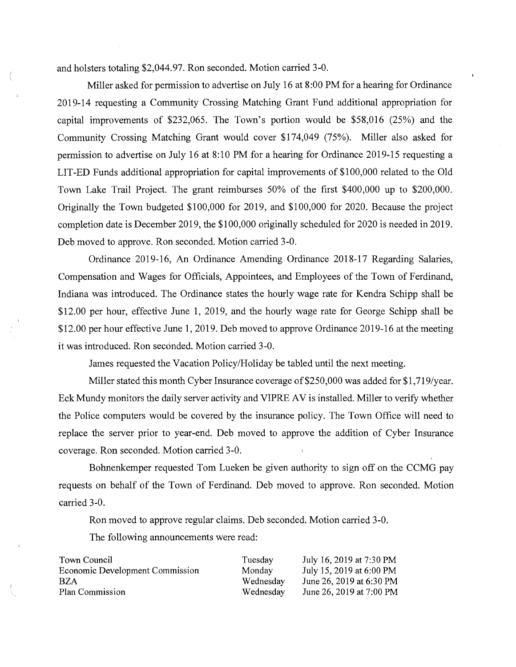and holsters totaling \$2,044.97. Ron seconded. Motion carried 3-0.

Miller asked for permission to advertise on July 16 at 8:00 PM for a hearing for Ordinance 2019-14 requesting a Community Crossing Matching Grant Fund additional appropriation for capital improvements of \$232,065. The Town's portion would be \$58,016 (25%) and the Community Crossing Matching Grant would cover \$174,049 (75%). Miller also asked for permission to advertise on July 16 at 8:10 PM for a hearing for Ordinance 2019-15 requesting a LIT-ED Funds additional appropriation for capital improvements of \$100,000 related to the Old Town Lake Trail Project. The grant reimburses 50% of the first \$400,000 up to \$200,000. Originally the Town budgeted \$100,000 for 2019, and \$100,000 for 2020. Because the project completion date is December 2019, the \$100,000 originally scheduled for 2020 is needed in 2019. Deb moved to approve. Ron seconded. Motion carried 3-0.

Ordinance 2019-16, An Ordinance Amending Ordinance 2018-17 Regarding Salaries, Compensation and Wages for Officials, Appointees, and Employees of the Town of Ferdinand, Indiana was introduced. The Ordinance states the hourly wage rate for Kendra Schipp shall be \$12.00 per hour, effective June 1, 2019, and the hourly wage rate for George Schipp shall be \$12.00 per hour effective June 1, 2019. Deb moved to approve Ordinance 2019-16 at the meeting it was introduced. Ron seconded. Motion carried 3-0.

James requested the Vacation Policy/Holiday be tabled until the next meeting.

Miller stated this month Cyber Insurance coverage of \$250,000 was added for \$1,719/year. Eck Mundy monitors the daily server activity and VIPRE AV is installed. Miller to verify whether the Police computers would be covered by the insurance policy. The Town Office will need to replace the server prior to year-end. Deb moved to approve the addition of Cyber Insurance coverage. Ron seconded. Motion carried 3-0.

Bohnenkemper requested Tom Lueken be given authority to sign off on the CCMG pay requests on behalf of the Town of Ferdinand. Deb moved to approve. Ron seconded. Motion carried 3-0.

Ron moved to approve regular claims. Deb seconded. Motion carried 3-0.

The following announcements were read:

| Town Council                           | Tuesday   | July 16, 2019 at 7:30 PM |
|----------------------------------------|-----------|--------------------------|
| <b>Economic Development Commission</b> | Monday    | July 15, 2019 at 6:00 PM |
| <b>BZA</b>                             | Wednesday | June 26, 2019 at 6:30 PM |
| Plan Commission                        | Wednesday | June 26, 2019 at 7:00 PM |